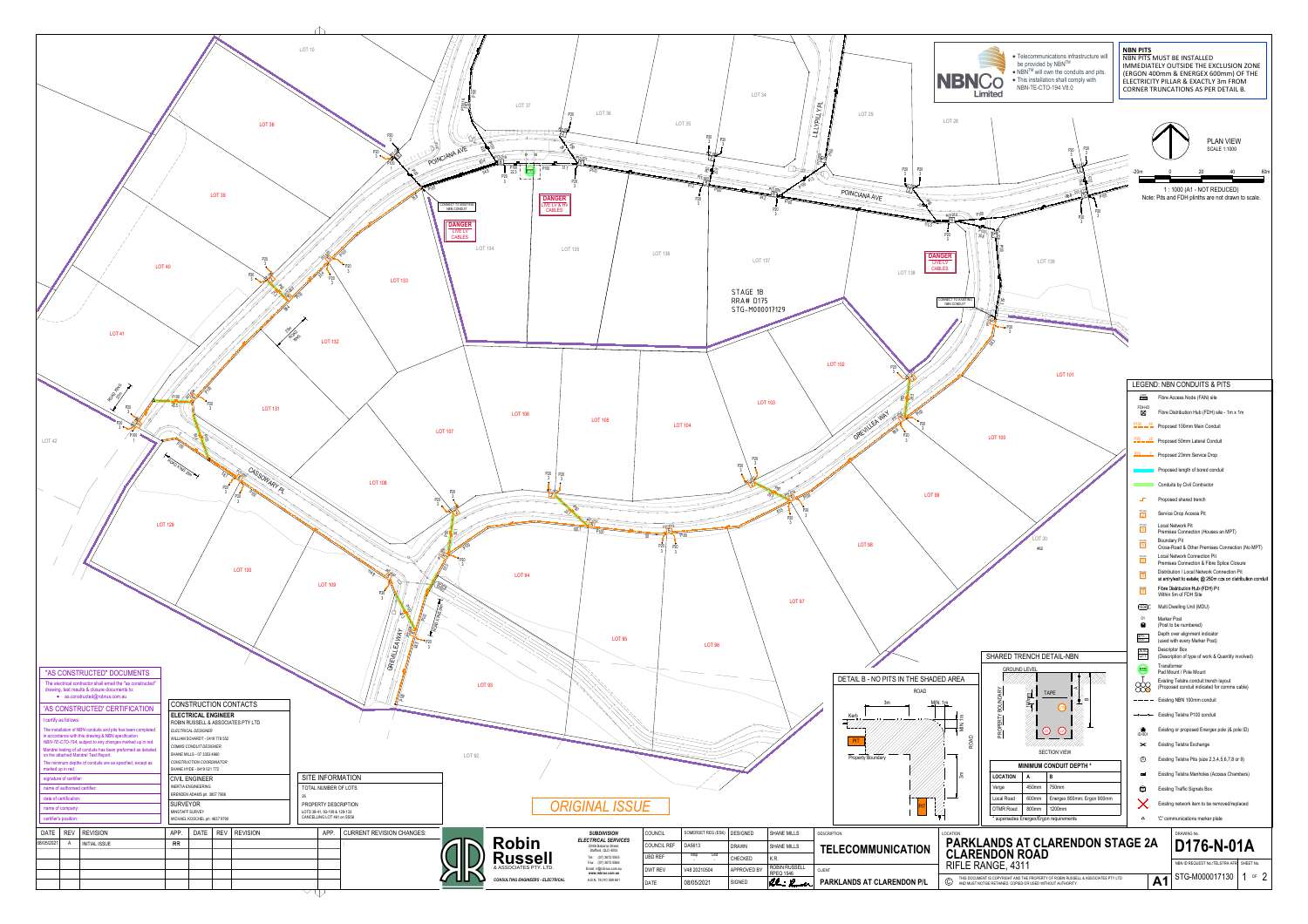